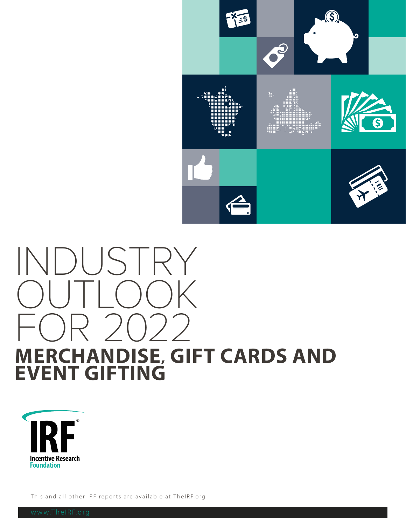

# INDUSTRY OUTLOOK FOR 2022 **MERCHANDISE, GIFT CARDS AND EVENT GIFTING**



This and all other IRF reports are available at TheIRF.org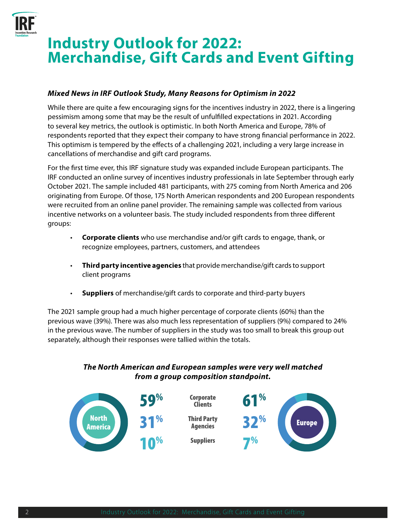

# **Industry Outlook for 2022: Merchandise, Gift Cards and Event Gifting**

#### *Mixed News in IRF Outlook Study, Many Reasons for Optimism in 2022*

While there are quite a few encouraging signs for the incentives industry in 2022, there is a lingering pessimism among some that may be the result of unfulfilled expectations in 2021. According to several key metrics, the outlook is optimistic. In both North America and Europe, 78% of respondents reported that they expect their company to have strong financial performance in 2022. This optimism is tempered by the effects of a challenging 2021, including a very large increase in cancellations of merchandise and gift card programs.

For the first time ever, this IRF signature study was expanded include European participants. The IRF conducted an online survey of incentives industry professionals in late September through early October 2021. The sample included 481 participants, with 275 coming from North America and 206 originating from Europe. Of those, 175 North American respondents and 200 European respondents were recruited from an online panel provider. The remaining sample was collected from various incentive networks on a volunteer basis. The study included respondents from three different groups:

- **Corporate clients** who use merchandise and/or gift cards to engage, thank, or recognize employees, partners, customers, and attendees
- **Third party incentive agencies** that provide merchandise/gift cards to support client programs
- **Suppliers** of merchandise/gift cards to corporate and third-party buyers

The 2021 sample group had a much higher percentage of corporate clients (60%) than the previous wave (39%). There was also much less representation of suppliers (9%) compared to 24% in the previous wave. The number of suppliers in the study was too small to break this group out separately, although their responses were tallied within the totals.

#### *The North American and European samples were very well matched from a group composition standpoint.*

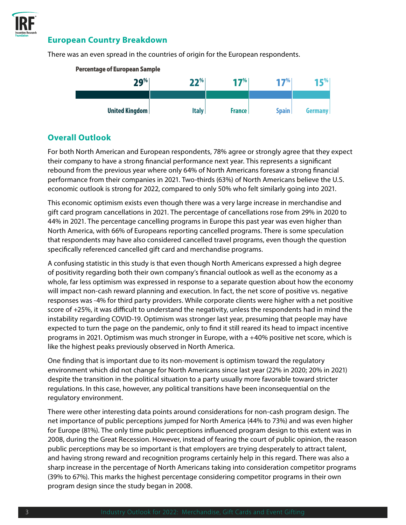

#### **European Country Breakdown**

There was an even spread in the countries of origin for the European respondents.



#### **Overall Outlook**

For both North American and European respondents, 78% agree or strongly agree that they expect their company to have a strong financial performance next year. This represents a significant rebound from the previous year where only 64% of North Americans foresaw a strong financial performance from their companies in 2021. Two-thirds (63%) of North Americans believe the U.S. economic outlook is strong for 2022, compared to only 50% who felt similarly going into 2021.

This economic optimism exists even though there was a very large increase in merchandise and gift card program cancellations in 2021. The percentage of cancellations rose from 29% in 2020 to 44% in 2021. The percentage cancelling programs in Europe this past year was even higher than North America, with 66% of Europeans reporting cancelled programs. There is some speculation that respondents may have also considered cancelled travel programs, even though the question specifically referenced cancelled gift card and merchandise programs.

A confusing statistic in this study is that even though North Americans expressed a high degree of positivity regarding both their own company's financial outlook as well as the economy as a whole, far less optimism was expressed in response to a separate question about how the economy will impact non-cash reward planning and execution. In fact, the net score of positive vs. negative responses was -4% for third party providers. While corporate clients were higher with a net positive score of +25%, it was difficult to understand the negativity, unless the respondents had in mind the instability regarding COVID-19. Optimism was stronger last year, presuming that people may have expected to turn the page on the pandemic, only to find it still reared its head to impact incentive programs in 2021. Optimism was much stronger in Europe, with a +40% positive net score, which is like the highest peaks previously observed in North America.

One finding that is important due to its non-movement is optimism toward the regulatory environment which did not change for North Americans since last year (22% in 2020; 20% in 2021) despite the transition in the political situation to a party usually more favorable toward stricter regulations. In this case, however, any political transitions have been inconsequential on the regulatory environment.

There were other interesting data points around considerations for non-cash program design. The net importance of public perceptions jumped for North America (44% to 73%) and was even higher for Europe (81%). The only time public perceptions influenced program design to this extent was in 2008, during the Great Recession. However, instead of fearing the court of public opinion, the reason public perceptions may be so important is that employers are trying desperately to attract talent, and having strong reward and recognition programs certainly help in this regard. There was also a sharp increase in the percentage of North Americans taking into consideration competitor programs (39% to 67%). This marks the highest percentage considering competitor programs in their own program design since the study began in 2008.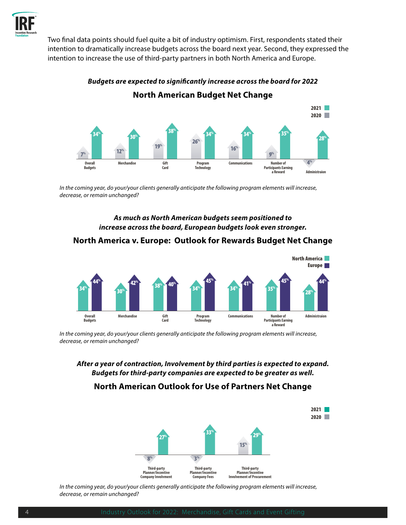

Two final data points should fuel quite a bit of industry optimism. First, respondents stated their intention to dramatically increase budgets across the board next year. Second, they expressed the intention to increase the use of third-party partners in both North America and Europe.



*Budgets are expected to significantly increase across the board for 2022* **North American Budget Net Change**

*In the coming year, do your/your clients generally anticipate the following program elements will increase, decrease, or remain unchanged?*

> *As much as North American budgets seem positioned to increase across the board, European budgets look even stronger.*

#### **North America v. Europe: Outlook for Rewards Budget Net Change**



*In the coming year, do your/your clients generally anticipate the following program elements will increase, decrease, or remain unchanged?*

*After a year of contraction, Involvement by third parties is expected to expand. Budgets for third-party companies are expected to be greater as well.*

#### **North American Outlook for Use of Partners Net Change**



*In the coming year, do your/your clients generally anticipate the following program elements will increase, decrease, or remain unchanged?*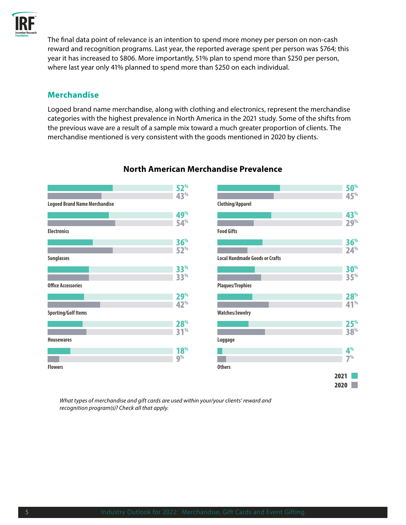

The final data point of relevance is an intention to spend more money per person on non-cash reward and recognition programs. Last year, the reported average spent per person was \$764; this year it has increased to \$806. More importantly, 51% plan to spend more than \$250 per person, where last year only 41% planned to spend more than \$250 on each individual.

#### **Merchandise**

Logoed brand name merchandise, along with clothing and electronics, represent the merchandise categories with the highest prevalence in North America in the 2021 study. Some of the shifts from the previous wave are a result of a sample mix toward a much greater proportion of clients. The merchandise mentioned is very consistent with the goods mentioned in 2020 by clients.



#### **North American Merchandise Prevalence**



*What types of merchandise and gift cards are used within your/your clients' reward and recognition program(s)? Check all that apply.*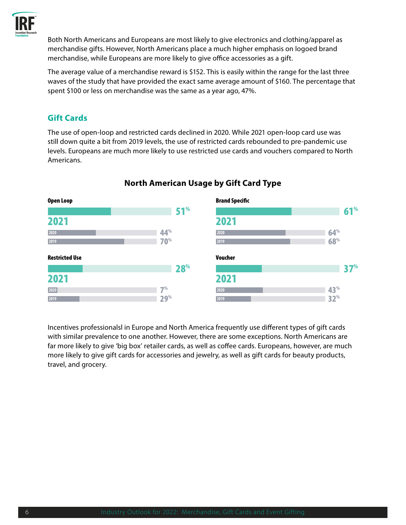

Both North Americans and Europeans are most likely to give electronics and clothing/apparel as merchandise gifts. However, North Americans place a much higher emphasis on logoed brand merchandise, while Europeans are more likely to give office accessories as a gift.

The average value of a merchandise reward is \$152. This is easily within the range for the last three waves of the study that have provided the exact same average amount of \$160. The percentage that spent \$100 or less on merchandise was the same as a year ago, 47%.

#### **Gift Cards**

The use of open-loop and restricted cards declined in 2020. While 2021 open-loop card use was still down quite a bit from 2019 levels, the use of restricted cards rebounded to pre-pandemic use levels. Europeans are much more likely to use restricted use cards and vouchers compared to North Americans.



#### **North American Usage by Gift Card Type**

Incentives professionalsl in Europe and North America frequently use different types of gift cards with similar prevalence to one another. However, there are some exceptions. North Americans are far more likely to give 'big box' retailer cards, as well as coffee cards. Europeans, however, are much more likely to give gift cards for accessories and jewelry, as well as gift cards for beauty products, travel, and grocery.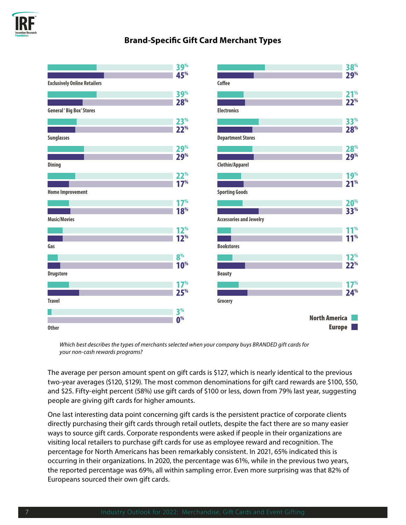

#### **Brand-Specific Gift Card Merchant Types**

|                                     | <b>39%</b>      |                                | 38 <sup>%</sup>      |
|-------------------------------------|-----------------|--------------------------------|----------------------|
|                                     | 45 <sup>%</sup> |                                | 29%                  |
| <b>Exclusively Online Retailers</b> |                 | Coffee                         |                      |
|                                     | <b>39%</b>      |                                | 21 <sup>%</sup>      |
|                                     | 28%             |                                | 22 <sup>%</sup>      |
| <b>General ' Big Box' Stores</b>    |                 | <b>Electronics</b>             |                      |
|                                     | 23 <sup>%</sup> |                                | <b>33%</b>           |
|                                     | 22 <sup>%</sup> |                                | 28 <sup>%</sup>      |
| <b>Sunglasses</b>                   |                 | <b>Department Stores</b>       |                      |
|                                     | <b>29%</b>      |                                | 28 <sup>%</sup>      |
|                                     | <b>29%</b>      |                                | <b>29%</b>           |
| <b>Dining</b>                       |                 | <b>Clothin/Apparel</b>         |                      |
|                                     | 22 <sup>%</sup> |                                | 19 <sup>%</sup>      |
|                                     | 17 <sup>%</sup> |                                | 21 <sup>%</sup>      |
| <b>Home Improvement</b>             |                 | <b>Sporting Goods</b>          |                      |
|                                     | 17 <sup>%</sup> |                                | 20 <sup>%</sup>      |
|                                     | 18 <sup>%</sup> |                                | <b>33%</b>           |
| <b>Music/Movies</b>                 |                 | <b>Accessories and Jewelry</b> |                      |
|                                     | 12 <sup>%</sup> |                                | 11 <sup>%</sup>      |
|                                     | 12 <sup>%</sup> |                                | 11 <sup>%</sup>      |
| Gas                                 |                 | <b>Bookstores</b>              |                      |
|                                     | 8 <sup>%</sup>  |                                | 12 <sup>%</sup>      |
|                                     | 10 <sup>%</sup> |                                | 22 <sup>%</sup>      |
| <b>Drugstore</b>                    |                 | <b>Beauty</b>                  |                      |
|                                     | 17 <sup>%</sup> |                                | 17 <sup>%</sup>      |
|                                     | 25%             |                                | 24%                  |
| <b>Travel</b>                       |                 | Grocery                        |                      |
|                                     | 3 <sup>%</sup>  |                                |                      |
|                                     | 0 <sup>%</sup>  |                                | <b>North America</b> |
| <b>Other</b>                        |                 |                                | <b>Europe</b>        |

*Which best describes the types of merchants selected when your company buys BRANDED gift cards for your non-cash rewards programs?*

The average per person amount spent on gift cards is \$127, which is nearly identical to the previous two-year averages (\$120, \$129). The most common denominations for gift card rewards are \$100, \$50, and \$25. Fifty-eight percent (58%) use gift cards of \$100 or less, down from 79% last year, suggesting people are giving gift cards for higher amounts.

One last interesting data point concerning gift cards is the persistent practice of corporate clients directly purchasing their gift cards through retail outlets, despite the fact there are so many easier ways to source gift cards. Corporate respondents were asked if people in their organizations are visiting local retailers to purchase gift cards for use as employee reward and recognition. The percentage for North Americans has been remarkably consistent. In 2021, 65% indicated this is occurring in their organizations. In 2020, the percentage was 61%, while in the previous two years, the reported percentage was 69%, all within sampling error. Even more surprising was that 82% of Europeans sourced their own gift cards.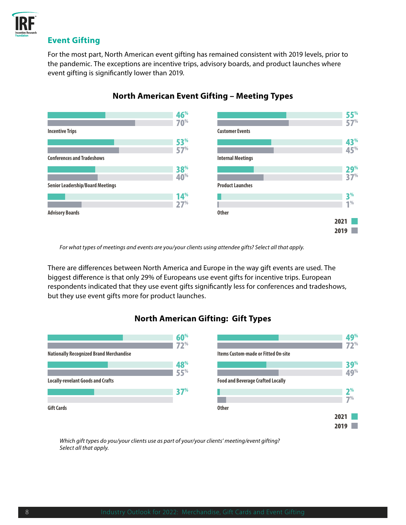

#### **Event Gifting**

For the most part, North American event gifting has remained consistent with 2019 levels, prior to the pandemic. The exceptions are incentive trips, advisory boards, and product launches where event gifting is significantly lower than 2019.



#### **North American Event Gifting – Meeting Types**

*For what types of meetings and events are you/your clients using attendee gifts? Select all that apply.*

There are differences between North America and Europe in the way gift events are used. The biggest difference is that only 29% of Europeans use event gifts for incentive trips. European respondents indicated that they use event gifts significantly less for conferences and tradeshows, but they use event gifts more for product launches.

### **North American Gifting: Gift Types**



*Which gift types do you/your clients use as part of your/your clients' meeting/event gifting? Select all that apply.*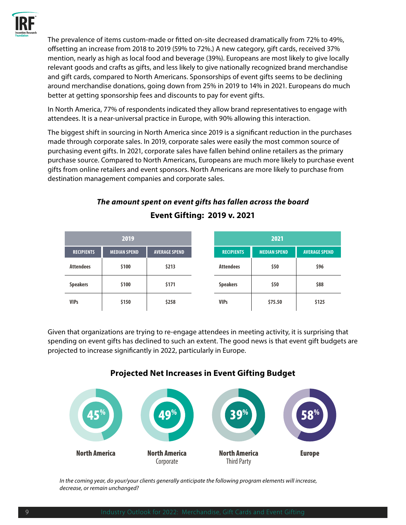

The prevalence of items custom-made or fitted on-site decreased dramatically from 72% to 49%, offsetting an increase from 2018 to 2019 (59% to 72%.) A new category, gift cards, received 37% mention, nearly as high as local food and beverage (39%). Europeans are most likely to give locally relevant goods and crafts as gifts, and less likely to give nationally recognized brand merchandise and gift cards, compared to North Americans. Sponsorships of event gifts seems to be declining around merchandise donations, going down from 25% in 2019 to 14% in 2021. Europeans do much better at getting sponsorship fees and discounts to pay for event gifts.

In North America, 77% of respondents indicated they allow brand representatives to engage with attendees. It is a near-universal practice in Europe, with 90% allowing this interaction.

The biggest shift in sourcing in North America since 2019 is a significant reduction in the purchases made through corporate sales. In 2019, corporate sales were easily the most common source of purchasing event gifts. In 2021, corporate sales have fallen behind online retailers as the primary purchase source. Compared to North Americans, Europeans are much more likely to purchase event gifts from online retailers and event sponsors. North Americans are more likely to purchase from destination management companies and corporate sales.

## *The amount spent on event gifts has fallen across the board*  **Event Gifting: 2019 v. 2021**

| 2019              |                     | 2021                 |                   |                     |                      |
|-------------------|---------------------|----------------------|-------------------|---------------------|----------------------|
| <b>RECIPIENTS</b> | <b>MEDIAN SPEND</b> | <b>AVERAGE SPEND</b> | <b>RECIPIENTS</b> | <b>MEDIAN SPEND</b> | <b>AVERAGE SPEND</b> |
| <b>Attendees</b>  | \$100               | \$213                | <b>Attendees</b>  | \$50                | \$96                 |
| <b>Speakers</b>   | \$100               | \$171                | <b>Speakers</b>   | \$50                | \$88                 |
| <b>VIPs</b>       | \$150               | \$258                | <b>VIPs</b>       | \$75.50             | \$125                |

Given that organizations are trying to re-engage attendees in meeting activity, it is surprising that spending on event gifts has declined to such an extent. The good news is that event gift budgets are projected to increase significantly in 2022, particularly in Europe.



#### **Projected Net Increases in Event Gifting Budget**

*In the coming year, do your/your clients generally anticipate the following program elements will increase, decrease, or remain unchanged?*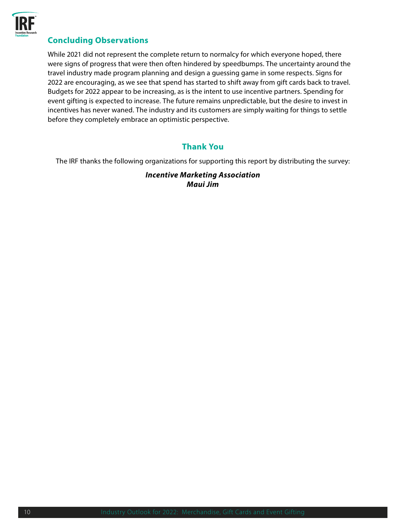

#### **Concluding Observations**

While 2021 did not represent the complete return to normalcy for which everyone hoped, there were signs of progress that were then often hindered by speedbumps. The uncertainty around the travel industry made program planning and design a guessing game in some respects. Signs for 2022 are encouraging, as we see that spend has started to shift away from gift cards back to travel. Budgets for 2022 appear to be increasing, as is the intent to use incentive partners. Spending for event gifting is expected to increase. The future remains unpredictable, but the desire to invest in incentives has never waned. The industry and its customers are simply waiting for things to settle before they completely embrace an optimistic perspective.

#### **Thank You**

The IRF thanks the following organizations for supporting this report by distributing the survey:

*Incentive Marketing Association Maui Jim*